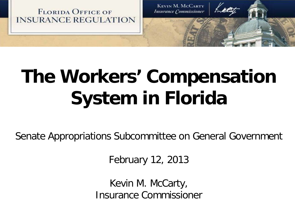

# **The Workers' Compensation System in Florida**

Senate Appropriations Subcommittee on General Government

February 12, 2013

Kevin M. McCarty, Insurance Commissioner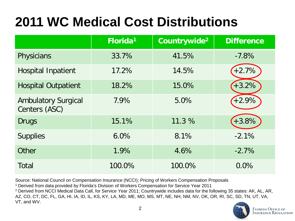## **2011 WC Medical Cost Distributions**

|                                             | Florida <sup>1</sup> | Countrywide <sup>2</sup> | <b>Difference</b> |
|---------------------------------------------|----------------------|--------------------------|-------------------|
| Physicians                                  | 33.7%                | 41.5%                    | $-7.8%$           |
| <b>Hospital Inpatient</b>                   | 17.2%                | 14.5%                    | $+2.7%$           |
| <b>Hospital Outpatient</b>                  | 18.2%                | 15.0%                    | $+3.2%$           |
| <b>Ambulatory Surgical</b><br>Centers (ASC) | 7.9%                 | 5.0%                     | $+2.9%$           |
| <b>Drugs</b>                                | 15.1%                | 11.3 %                   | $+3.8%$           |
| <b>Supplies</b>                             | 6.0%                 | 8.1%                     | $-2.1%$           |
| Other                                       | 1.9%                 | 4.6%                     | $-2.7%$           |
| <b>Total</b>                                | 100.0%               | 100.0%                   | 0.0%              |

Source: National Council on Compensation Insurance (NCCI); Pricing of Workers Compensation Proposals

<sup>1</sup> Derived from data provided by Florida's Division of Workers Compensation for Service Year 2011

<sup>2</sup> Derived from NCCI Medical Data Call, for Service Year 2011; Countrywide includes data for the following 35 states: AK, AL, AR, AZ, CO, CT, DC, FL, GA, HI, IA, ID, IL, KS, KY, LA, MD, ME, MO, MS, MT, NE, NH, NM, NV, OK, OR, RI, SC, SD, TN, UT, VA, VT, and WV.

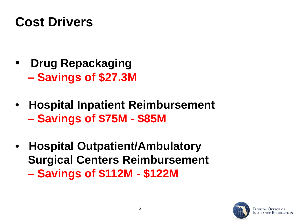#### **Cost Drivers**

- **Drug Repackaging – Savings of \$27.3M**
- **Hospital Inpatient Reimbursement – Savings of \$75M - \$85M**
- • **Hospital Outpatient/Ambulatory Surgical Centers Reimbursement – Savings of \$112M - \$122M**

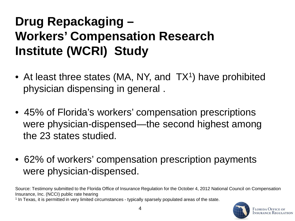#### **Drug Repackaging – Workers' Compensation Research Institute (WCRI) Study**

- At least three states (MA, NY, and TX<sup>1</sup>) have prohibited physician dispensing in general .
- 45% of Florida's workers' compensation prescriptions were physician-dispensed—the second highest among the 23 states studied.
- 62% of workers' compensation prescription payments were physician-dispensed.

Source: Testimony submitted to the Florida Office of Insurance Regulation for the October 4, 2012 National Council on Compensation Insurance, Inc. (NCCI) public rate hearing

<sup>1</sup> In Texas, it is permitted in very limited circumstances - typically sparsely populated areas of the state.

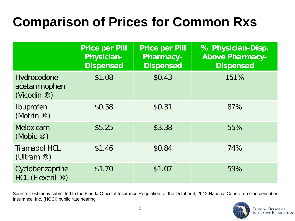#### **Comparison of Prices for Common Rxs**

|                                                         | <b>Price per Pill</b><br><b>Physician-</b><br><b>Dispensed</b> | <b>Price per Pill</b><br><b>Pharmacy-</b><br><b>Dispensed</b> | % Physician-Disp.<br><b>Above Pharmacy-</b><br><b>Dispensed</b> |
|---------------------------------------------------------|----------------------------------------------------------------|---------------------------------------------------------------|-----------------------------------------------------------------|
| Hydrocodone-<br>acetaminophen<br>(Vicodin $\circledR$ ) | \$1.08                                                         | \$0.43                                                        | 151%                                                            |
| Ibuprofen<br>(Motrin $\circledR$ )                      | \$0.58                                                         | \$0.31                                                        | 87%                                                             |
| Meloxicam<br>(Mobic $\circledR$ )                       | \$5.25                                                         | \$3.38                                                        | 55%                                                             |
| <b>Tramadol HCL</b><br>(Ultram $\circledR$ )            | \$1.46                                                         | \$0.84                                                        | 74%                                                             |
| Cyclobenzaprine<br>HCL (Flexeril ®)                     | \$1.70                                                         | \$1.07                                                        | 59%                                                             |

Source: Testimony submitted to the Florida Office of Insurance Regulation for the October 4, 2012 National Council on Compensation Insurance, Inc. (NCCI) public rate hearing

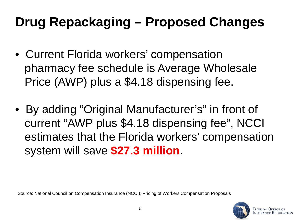### **Drug Repackaging – Proposed Changes**

- Current Florida workers' compensation pharmacy fee schedule is Average Wholesale Price (AWP) plus a \$4.18 dispensing fee.
- By adding "Original Manufacturer's" in front of current "AWP plus \$4.18 dispensing fee", NCCI estimates that the Florida workers' compensation system will save **\$27.3 million**.

Source: National Council on Compensation Insurance (NCCI); Pricing of Workers Compensation Proposals

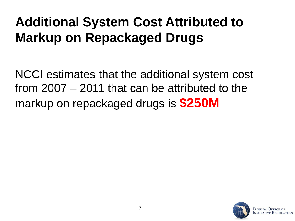#### **Additional System Cost Attributed to Markup on Repackaged Drugs**

NCCI estimates that the additional system cost from 2007 – 2011 that can be attributed to the markup on repackaged drugs is **\$250M**